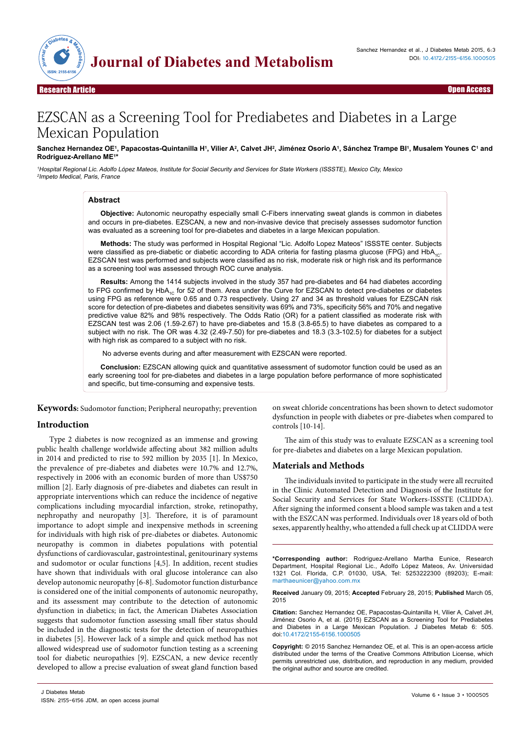

Open Access

# EZSCAN as a Screening Tool for Prediabetes and Diabetes in a Large Mexican Population

# Sanchez Hernandez OE1, Papacostas-Quintanilla H1, Vilier A<sup>2</sup>, Calvet JH<del>?</del>, Jiménez Osorio A1, Sánchez Trampe BI1, Musalem Younes C1 and **Rodriguez-Arellano ME1 \***

<sup>1</sup>Hospital Regional Lic. Adolfo López Mateos, Institute for Social Security and Services for State Workers (ISSSTE), Mexico City, Mexico <sup>2</sup>Impeto Medical, Paris, France

# **Abstract**

**Objective:** Autonomic neuropathy especially small C-Fibers innervating sweat glands is common in diabetes and occurs in pre-diabetes. EZSCAN, a new and non-invasive device that precisely assesses sudomotor function was evaluated as a screening tool for pre-diabetes and diabetes in a large Mexican population.

**Methods:** The study was performed in Hospital Regional "Lic. Adolfo Lopez Mateos" ISSSTE center. Subjects were classified as pre-diabetic or diabetic according to ADA criteria for fasting plasma glucose (FPG) and HbA<sub>1C</sub>. EZSCAN test was performed and subjects were classified as no risk, moderate risk or high risk and its performance as a screening tool was assessed through ROC curve analysis.

**Results:** Among the 1414 subjects involved in the study 357 had pre-diabetes and 64 had diabetes according to FPG confirmed by  $HbA_{1C}$  for 52 of them. Area under the Curve for EZSCAN to detect pre-diabetes or diabetes using FPG as reference were 0.65 and 0.73 respectively. Using 27 and 34 as threshold values for EZSCAN risk score for detection of pre-diabetes and diabetes sensitivity was 69% and 73%, specificity 56% and 70% and negative predictive value 82% and 98% respectively. The Odds Ratio (OR) for a patient classified as moderate risk with EZSCAN test was 2.06 (1.59-2.67) to have pre-diabetes and 15.8 (3.8-65.5) to have diabetes as compared to a subject with no risk. The OR was 4.32 (2.49-7.50) for pre-diabetes and 18.3 (3.3-102.5) for diabetes for a subject with high risk as compared to a subject with no risk.

No adverse events during and after measurement with EZSCAN were reported.

**Conclusion:** EZSCAN allowing quick and quantitative assessment of sudomotor function could be used as an early screening tool for pre-diabetes and diabetes in a large population before performance of more sophisticated and specific, but time-consuming and expensive tests.

**Keywords:** Sudomotor function; Peripheral neuropathy; prevention

# **Introduction**

Type 2 diabetes is now recognized as an immense and growing public health challenge worldwide affecting about 382 million adults in 2014 and predicted to rise to 592 million by 2035 [1]. In Mexico, the prevalence of pre-diabetes and diabetes were 10.7% and 12.7%, respectively in 2006 with an economic burden of more than US\$750 million [2]. Early diagnosis of pre-diabetes and diabetes can result in appropriate interventions which can reduce the incidence of negative complications including myocardial infarction, stroke, retinopathy, nephropathy and neuropathy [3]. Therefore, it is of paramount importance to adopt simple and inexpensive methods in screening for individuals with high risk of pre-diabetes or diabetes. Autonomic neuropathy is common in diabetes populations with potential dysfunctions of cardiovascular, gastrointestinal, genitourinary systems and sudomotor or ocular functions [4,5]. In addition, recent studies have shown that individuals with oral glucose intolerance can also develop autonomic neuropathy [6-8]. Sudomotor function disturbance is considered one of the initial components of autonomic neuropathy, and its assessment may contribute to the detection of autonomic dysfunction in diabetics; in fact, the American Diabetes Association suggests that sudomotor function assessing small fiber status should be included in the diagnostic tests for the detection of neuropathies in diabetes [5]. However lack of a simple and quick method has not allowed widespread use of sudomotor function testing as a screening tool for diabetic neuropathies [9]. EZSCAN, a new device recently developed to allow a precise evaluation of sweat gland function based

on sweat chloride concentrations has been shown to detect sudomotor dysfunction in people with diabetes or pre-diabetes when compared to controls [10-14].

The aim of this study was to evaluate EZSCAN as a screening tool for pre-diabetes and diabetes on a large Mexican population.

# **Materials and Methods**

The individuals invited to participate in the study were all recruited in the Clinic Automated Detection and Diagnosis of the Institute for Social Security and Services for State Workers-ISSSTE (CLIDDA). After signing the informed consent a blood sample was taken and a test with the ESZCAN was performed. Individuals over 18 years old of both sexes, apparently healthy, who attended a full check up at CLIDDA were

**\*Corresponding author:** Rodriguez-Arellano Martha Eunice, Research Department, Hospital Regional Lic., Adolfo López Mateos, Av. Universidad 1321 Col. Florida, C.P. 01030, USA, Tel: 5253222300 (89203); E-mail: marthaeunicer@yahoo.com.mx

**Received** January 09, 2015; **Accepted** February 28, 2015; **Published** March 05, 2015

**Citation:** Sanchez Hernandez OE, Papacostas-Quintanilla H, Vilier A, Calvet JH, Jiménez Osorio A, et al. (2015) EZSCAN as a Screening Tool for Prediabetes and Diabetes in a Large Mexican Population. J Diabetes Metab 6: 505. doi:10.4172/2155-6156.1000505

**Copyright:** © 2015 Sanchez Hernandez OE, et al. This is an open-access article distributed under the terms of the Creative Commons Attribution License, which permits unrestricted use, distribution, and reproduction in any medium, provided the original author and source are credited.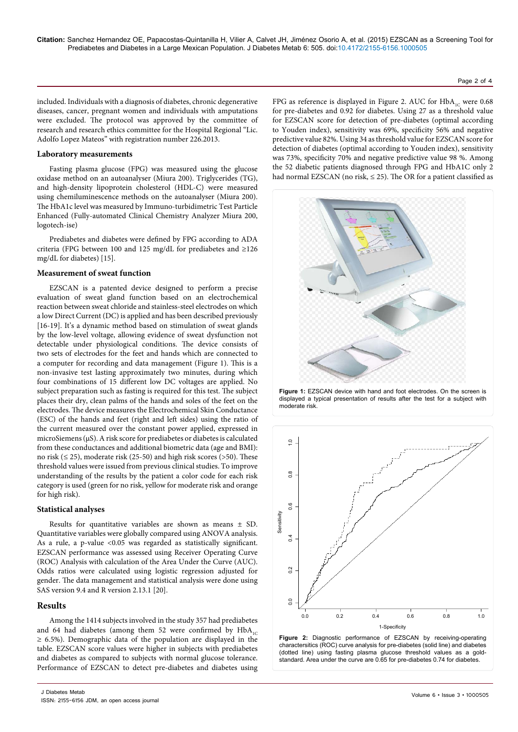Page 2 of 4

included. Individuals with a diagnosis of diabetes, chronic degenerative diseases, cancer, pregnant women and individuals with amputations were excluded. The protocol was approved by the committee of research and research ethics committee for the Hospital Regional "Lic. Adolfo Lopez Mateos" with registration number 226.2013.

#### **Laboratory measurements**

Fasting plasma glucose (FPG) was measured using the glucose oxidase method on an autoanalyser (Miura 200). Triglycerides (TG), and high-density lipoprotein cholesterol (HDL-C) were measured using chemiluminescence methods on the autoanalyser (Miura 200). The HbA1c level was measured by Immuno-turbidimetric Test Particle Enhanced (Fully-automated Clinical Chemistry Analyzer Miura 200, logotech-ise)

Prediabetes and diabetes were defined by FPG according to ADA criteria (FPG between 100 and 125 mg/dL for prediabetes and ≥126 mg/dL for diabetes) [15].

## **Measurement of sweat function**

EZSCAN is a patented device designed to perform a precise evaluation of sweat gland function based on an electrochemical reaction between sweat chloride and stainless-steel electrodes on which a low Direct Current (DC) is applied and has been described previously [16-19]. It's a dynamic method based on stimulation of sweat glands by the low-level voltage, allowing evidence of sweat dysfunction not detectable under physiological conditions. The device consists of two sets of electrodes for the feet and hands which are connected to a computer for recording and data management (Figure 1). This is a non-invasive test lasting approximately two minutes, during which four combinations of 15 different low DC voltages are applied. No subject preparation such as fasting is required for this test. The subject places their dry, clean palms of the hands and soles of the feet on the electrodes. The device measures the Electrochemical Skin Conductance (ESC) of the hands and feet (right and left sides) using the ratio of the current measured over the constant power applied, expressed in microSiemens (µS). A risk score for prediabetes or diabetes is calculated from these conductances and additional biometric data (age and BMI): no risk ( $\leq$  25), moderate risk (25-50) and high risk scores ( $>$ 50). These threshold values were issued from previous clinical studies. To improve understanding of the results by the patient a color code for each risk category is used (green for no risk, yellow for moderate risk and orange for high risk).

# **Statistical analyses**

Results for quantitative variables are shown as means ± SD. Quantitative variables were globally compared using ANOVA analysis. As a rule, a p-value <0.05 was regarded as statistically significant. EZSCAN performance was assessed using Receiver Operating Curve (ROC) Analysis with calculation of the Area Under the Curve (AUC). Odds ratios were calculated using logistic regression adjusted for gender. The data management and statistical analysis were done using SAS version 9.4 and R version 2.13.1 [20].

## **Results**

Among the 1414 subjects involved in the study 357 had prediabetes and 64 had diabetes (among them 52 were confirmed by  $HbA_1C$ ≥ 6.5%). Demographic data of the population are displayed in the table. EZSCAN score values were higher in subjects with prediabetes and diabetes as compared to subjects with normal glucose tolerance. Performance of EZSCAN to detect pre-diabetes and diabetes using

FPG as reference is displayed in Figure 2. AUC for  $HbA_{1C}$  were 0.68 for pre-diabetes and 0.92 for diabetes. Using 27 as a threshold value for EZSCAN score for detection of pre-diabetes (optimal according to Youden index), sensitivity was 69%, specificity 56% and negative predictive value 82%. Using 34 as threshold value for EZSCAN score for detection of diabetes (optimal according to Youden index), sensitivity was 73%, specificity 70% and negative predictive value 98 %. Among the 52 diabetic patients diagnosed through FPG and HbA1C only 2 had normal EZSCAN (no risk, ≤ 25). The OR for a patient classified as







**Figure 2:** Diagnostic performance of EZSCAN by receiving-operating charactersitics (ROC) curve analysis for pre-diabetes (solid line) and diabetes (dotted line) using fasting plasma glucose threshold values as a goldstandard. Area under the curve are 0.65 for pre-diabetes 0.74 for diabetes.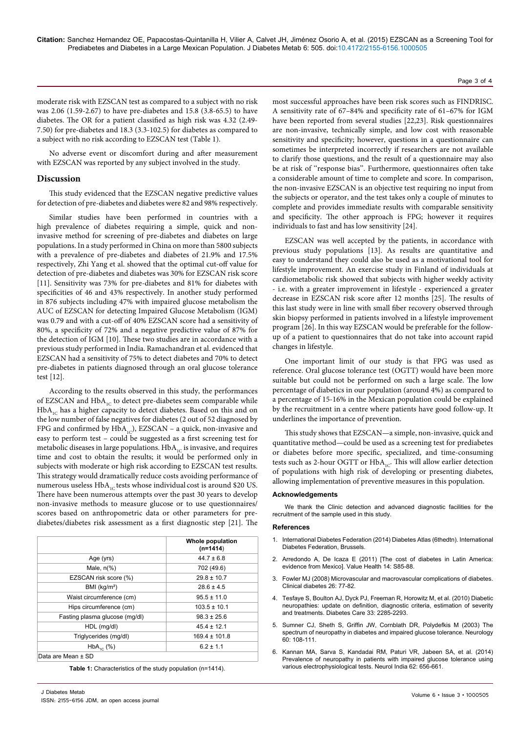#### Page 3 of 4

moderate risk with EZSCAN test as compared to a subject with no risk was 2.06 (1.59-2.67) to have pre-diabetes and 15.8 (3.8-65.5) to have diabetes. The OR for a patient classified as high risk was 4.32 (2.49- 7.50) for pre-diabetes and 18.3 (3.3-102.5) for diabetes as compared to a subject with no risk according to EZSCAN test (Table 1).

No adverse event or discomfort during and after measurement with EZSCAN was reported by any subject involved in the study.

## **Discussion**

This study evidenced that the EZSCAN negative predictive values for detection of pre-diabetes and diabetes were 82 and 98% respectively.

Similar studies have been performed in countries with a high prevalence of diabetes requiring a simple, quick and noninvasive method for screening of pre-diabetes and diabetes on large populations. In a study performed in China on more than 5800 subjects with a prevalence of pre-diabetes and diabetes of 21.9% and 17.5% respectively, Zhi Yang et al. showed that the optimal cut-off value for detection of pre-diabetes and diabetes was 30% for EZSCAN risk score [11]. Sensitivity was 73% for pre-diabetes and 81% for diabetes with specificities of 46 and 43% respectively. In another study performed in 876 subjects including 47% with impaired glucose metabolism the AUC of EZSCAN for detecting Impaired Glucose Metabolism (IGM) was 0.79 and with a cut-off of 40% EZSCAN score had a sensitivity of 80%, a specificity of 72% and a negative predictive value of 87% for the detection of IGM [10]. These two studies are in accordance with a previous study performed in India. Ramachandran et al. evidenced that EZSCAN had a sensitivity of 75% to detect diabetes and 70% to detect pre-diabetes in patients diagnosed through an oral glucose tolerance test [12].

According to the results observed in this study, the performances of EZSCAN and  $HbA_{1C}$  to detect pre-diabetes seem comparable while  $HbA_{1C}$  has a higher capacity to detect diabetes. Based on this and on the low number of false negatives for diabetes (2 out of 52 diagnosed by FPG and confirmed by  $HbA_{1C}$ ), EZSCAN – a quick, non-invasive and easy to perform test – could be suggested as a first screening test for metabolic diseases in large populations.  $HbA_{1C}$  is invasive, and requires time and cost to obtain the results; it would be performed only in subjects with moderate or high risk according to EZSCAN test results. This strategy would dramatically reduce costs avoiding performance of numerous useless  $HbA_{1C}$  tests whose individual cost is around \$20 US. There have been numerous attempts over the past 30 years to develop non-invasive methods to measure glucose or to use questionnaires/ scores based on anthropometric data or other parameters for prediabetes/diabetes risk assessment as a first diagnostic step [21]. The

|                                | <b>Whole population</b><br>$(n=1414)$ |
|--------------------------------|---------------------------------------|
| Age (yrs)                      | $44.7 \pm 6.8$                        |
| Male, $n\frac{9}{6}$           | 702 (49.6)                            |
| EZSCAN risk score (%)          | $29.8 \pm 10.7$                       |
| BMI (kg/m <sup>2</sup> )       | $28.6 \pm 4.5$                        |
| Waist circumference (cm)       | $95.5 \pm 11.0$                       |
| Hips circumference (cm)        | $103.5 \pm 10.1$                      |
| Fasting plasma glucose (mg/dl) | $98.3 \pm 25.6$                       |
| HDL (mg/dl)                    | $45.4 \pm 12.1$                       |
| Triglycerides (mg/dl)          | $169.4 \pm 101.8$                     |
| $HbA_{10}$ (%)                 | $6.2 \pm 1.1$                         |
| Data are Mean ± SD             |                                       |

**Table 1:** Characteristics of the study population (n=1414).

most successful approaches have been risk scores such as FINDRISC. A sensitivity rate of 67–84% and specificity rate of 61–67% for IGM have been reported from several studies [22,23]. Risk questionnaires are non-invasive, technically simple, and low cost with reasonable sensitivity and specificity; however, questions in a questionnaire can sometimes be interpreted incorrectly if researchers are not available to clarify those questions, and the result of a questionnaire may also be at risk of ''response bias''. Furthermore, questionnaires often take a considerable amount of time to complete and score. In comparison, the non-invasive EZSCAN is an objective test requiring no input from the subjects or operator, and the test takes only a couple of minutes to complete and provides immediate results with comparable sensitivity and specificity. The other approach is FPG; however it requires individuals to fast and has low sensitivity [24].

EZSCAN was well accepted by the patients, in accordance with previous study populations [13]. As results are quantitative and easy to understand they could also be used as a motivational tool for lifestyle improvement. An exercise study in Finland of individuals at cardiometabolic risk showed that subjects with higher weekly activity - i.e. with a greater improvement in lifestyle - experienced a greater decrease in EZSCAN risk score after 12 months [25]. The results of this last study were in line with small fiber recovery observed through skin biopsy performed in patients involved in a lifestyle improvement program [26]. In this way EZSCAN would be preferable for the followup of a patient to questionnaires that do not take into account rapid changes in lifestyle.

One important limit of our study is that FPG was used as reference. Oral glucose tolerance test (OGTT) would have been more suitable but could not be performed on such a large scale. The low percentage of diabetics in our population (around 4%) as compared to a percentage of 15-16% in the Mexican population could be explained by the recruitment in a centre where patients have good follow-up. It underlines the importance of prevention.

This study shows that EZSCAN—a simple, non-invasive, quick and quantitative method—could be used as a screening test for prediabetes or diabetes before more specific, specialized, and time-consuming tests such as 2-hour OGTT or  $HbA_{1C}$ . This will allow earlier detection of populations with high risk of developing or presenting diabetes, allowing implementation of preventive measures in this population.

#### **Acknowledgements**

We thank the Clinic detection and advanced diagnostic facilities for the recruitment of the sample used in this study.

#### **References**

- 1. International Diabetes Federation (2014) Diabetes Atlas (6thedtn). International Diabetes Federation, Brussels.
- 2. [Arredondo A, De Icaza E \(2011\) \[The cost of diabetes in Latin America:](http://www.ncbi.nlm.nih.gov/pubmed/21839907)  [evidence from Mexico\]. Value Health 14: S85-88.](http://www.ncbi.nlm.nih.gov/pubmed/21839907)
- 3. [Fowler MJ \(2008\) Microvascular and macrovascular complications of diabetes.](http://clinical.diabetesjournals.org/content/26/2/77.full)  [Clinical diabetes 26: 77-82.](http://clinical.diabetesjournals.org/content/26/2/77.full)
- 4. [Tesfaye S, Boulton AJ, Dyck PJ, Freeman R, Horowitz M, et al. \(2010\) Diabetic](http://www.ncbi.nlm.nih.gov/pubmed/20876709)  [neuropathies: update on definition, diagnostic criteria, estimation of severity](http://www.ncbi.nlm.nih.gov/pubmed/20876709)  [and treatments. Diabetes Care 33: 2285-2293.](http://www.ncbi.nlm.nih.gov/pubmed/20876709)
- 5. [Sumner CJ, Sheth S, Griffin JW, Cornblath DR, Polydefkis M \(2003\) The](http://www.ncbi.nlm.nih.gov/pubmed/12525727)  [spectrum of neuropathy in diabetes and impaired glucose tolerance. Neurology](http://www.ncbi.nlm.nih.gov/pubmed/12525727)  [60: 108-111.](http://www.ncbi.nlm.nih.gov/pubmed/12525727)
- 6. [Kannan MA, Sarva S, Kandadai RM, Paturi VR, Jabeen SA, et al. \(2014\)](http://www.ncbi.nlm.nih.gov/pubmed/25591680)  [Prevalence of neuropathy in patients with impaired glucose tolerance using](http://www.ncbi.nlm.nih.gov/pubmed/25591680)  [various electrophysiological tests. Neurol India 62: 656-661.](http://www.ncbi.nlm.nih.gov/pubmed/25591680)